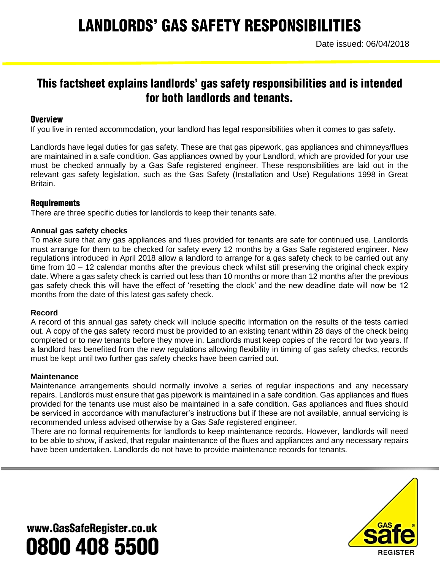# **LANDLORDS' GAS SAFETY RESPONSIBILITIES**

# This factsheet explains landlords' gas safety responsibilities and is intended for both landlords and tenants.

# **Overview**

If you live in rented accommodation, your landlord has legal responsibilities when it comes to gas safety.

Landlords have legal duties for gas safety. These are that gas pipework, gas appliances and chimneys/flues are maintained in a safe condition. Gas appliances owned by your Landlord, which are provided for your use must be checked annually by a Gas Safe registered engineer. These responsibilities are laid out in the relevant gas safety legislation, such as the Gas Safety (Installation and Use) Regulations 1998 in Great Britain.

# **Requirements**

There are three specific duties for landlords to keep their tenants safe.

### **Annual gas safety checks**

To make sure that any gas appliances and flues provided for tenants are safe for continued use. Landlords must arrange for them to be checked for safety every 12 months by a Gas Safe registered engineer. New regulations introduced in April 2018 allow a landlord to arrange for a gas safety check to be carried out any time from 10 – 12 calendar months after the previous check whilst still preserving the original check expiry date. Where a gas safety check is carried out less than 10 months or more than 12 months after the previous gas safety check this will have the effect of 'resetting the clock' and the new deadline date will now be 12 months from the date of this latest gas safety check.

### **Record**

A record of this annual gas safety check will include specific information on the results of the tests carried out. A copy of the gas safety record must be provided to an existing tenant within 28 days of the check being completed or to new tenants before they move in. Landlords must keep copies of the record for two years. If a landlord has benefited from the new regulations allowing flexibility in timing of gas safety checks, records must be kept until two further gas safety checks have been carried out.

### **Maintenance**

Maintenance arrangements should normally involve a series of regular inspections and any necessary repairs. Landlords must ensure that gas pipework is maintained in a safe condition. Gas appliances and flues provided for the tenants use must also be maintained in a safe condition. Gas appliances and flues should be serviced in accordance with manufacturer's instructions but if these are not available, annual servicing is recommended unless advised otherwise by a Gas Safe registered engineer.

There are no formal requirements for landlords to keep maintenance records. However, landlords will need to be able to show, if asked, that regular maintenance of the flues and appliances and any necessary repairs have been undertaken. Landlords do not have to provide maintenance records for tenants.



www.GasSafeRegister.co.uk 0800 408 5500